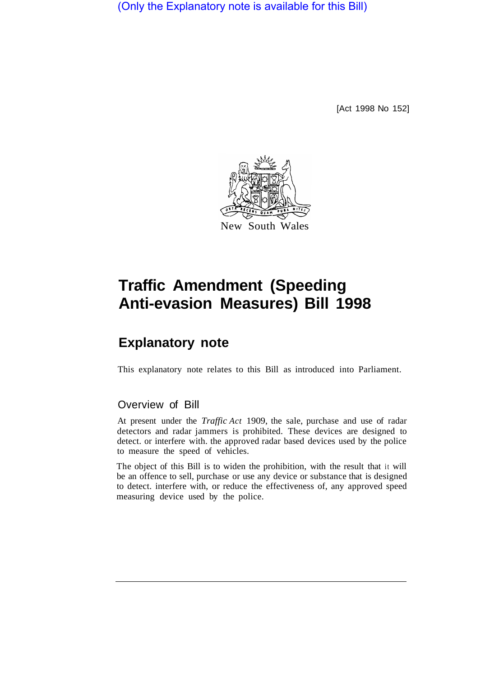(Only the Explanatory note is available for this Bill)

[Act 1998 No 152]



## **Traffic Amendment (Speeding Anti-evasion Measures) Bill 1998**

## **Explanatory note**

This explanatory note relates to this Bill as introduced into Parliament.

## Overview of Bill

At present under the *Traffic Act* 1909, the sale, purchase and use of radar detectors and radar jammers is prohibited. These devices are designed to detect. or interfere with. the approved radar based devices used by the police to measure the speed of vehicles.

The object of this Bill is to widen the prohibition, with the result that it will be an offence to sell, purchase or use any device or substance that is designed to detect. interfere with, or reduce the effectiveness of, any approved speed measuring device used by the police.